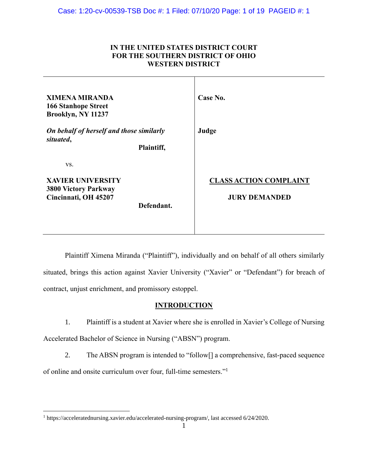### **IN THE UNITED STATES DISTRICT COURT FOR THE SOUTHERN DISTRICT OF OHIO WESTERN DISTRICT**

| <b>XIMENA MIRANDA</b><br><b>166 Stanhope Street</b><br>Brooklyn, NY 11237              |            | Case No.                                              |
|----------------------------------------------------------------------------------------|------------|-------------------------------------------------------|
| On behalf of herself and those similarly<br>situated,                                  | Plaintiff, | Judge                                                 |
| VS.<br><b>XAVIER UNIVERSITY</b><br><b>3800 Victory Parkway</b><br>Cincinnati, OH 45207 | Defendant. | <b>CLASS ACTION COMPLAINT</b><br><b>JURY DEMANDED</b> |

Plaintiff Ximena Miranda ("Plaintiff"), individually and on behalf of all others similarly situated, brings this action against Xavier University ("Xavier" or "Defendant") for breach of contract, unjust enrichment, and promissory estoppel.

### **INTRODUCTION**

1. Plaintiff is a student at Xavier where she is enrolled in Xavier's College of Nursing Accelerated Bachelor of Science in Nursing ("ABSN") program.

2. The ABSN program is intended to "follow[] a comprehensive, fast-paced sequence of online and onsite curriculum over four, full-time semesters."<sup>1</sup>

<sup>1</sup> [https://acceleratednursing.xavier.edu/accelerated-nursing-program/,](https://acceleratednursing.xavier.edu/accelerated-nursing-program/) last accessed 6/24/2020.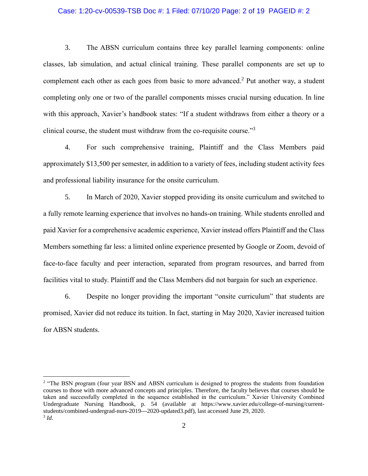### Case: 1:20-cv-00539-TSB Doc #: 1 Filed: 07/10/20 Page: 2 of 19 PAGEID #: 2

3. The ABSN curriculum contains three key parallel learning components: online classes, lab simulation, and actual clinical training. These parallel components are set up to complement each other as each goes from basic to more advanced.<sup>2</sup> Put another way, a student completing only one or two of the parallel components misses crucial nursing education. In line with this approach, Xavier's handbook states: "If a student withdraws from either a theory or a clinical course, the student must withdraw from the co-requisite course."<sup>3</sup>

4. For such comprehensive training, Plaintiff and the Class Members paid approximately \$13,500 per semester, in addition to a variety of fees, including student activity fees and professional liability insurance for the onsite curriculum.

5. In March of 2020, Xavier stopped providing its onsite curriculum and switched to a fully remote learning experience that involves no hands-on training. While students enrolled and paid Xavier for a comprehensive academic experience, Xavier instead offers Plaintiff and the Class Members something far less: a limited online experience presented by Google or Zoom, devoid of face-to-face faculty and peer interaction, separated from program resources, and barred from facilities vital to study. Plaintiff and the Class Members did not bargain for such an experience.

6. Despite no longer providing the important "onsite curriculum" that students are promised, Xavier did not reduce its tuition. In fact, starting in May 2020, Xavier increased tuition for ABSN students.

<sup>&</sup>lt;sup>2</sup> "The BSN program (four year BSN and ABSN curriculum is designed to progress the students from foundation courses to those with more advanced concepts and principles. Therefore, the faculty believes that courses should be taken and successfully completed in the sequence established in the curriculum." Xavier University Combined Undergraduate Nursing Handbook, p. 54 (available at [https://www.xavier.edu/college-of-nursing/current](https://www.xavier.edu/college-of-nursing/current-students/combined-undergrad-nurs-2019---2020-updated3.pdf)[students/combined-undergrad-nurs-2019---2020-updated3.pdf\)](https://www.xavier.edu/college-of-nursing/current-students/combined-undergrad-nurs-2019---2020-updated3.pdf), last accessed June 29, 2020. 3 *Id*.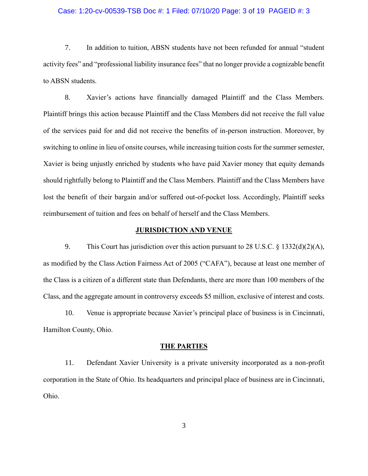### Case: 1:20-cv-00539-TSB Doc #: 1 Filed: 07/10/20 Page: 3 of 19 PAGEID #: 3

7. In addition to tuition, ABSN students have not been refunded for annual "student activity fees" and "professional liability insurance fees" that no longer provide a cognizable benefit to ABSN students.

8. Xavier's actions have financially damaged Plaintiff and the Class Members. Plaintiff brings this action because Plaintiff and the Class Members did not receive the full value of the services paid for and did not receive the benefits of in-person instruction. Moreover, by switching to online in lieu of onsite courses, while increasing tuition costs for the summer semester, Xavier is being unjustly enriched by students who have paid Xavier money that equity demands should rightfully belong to Plaintiff and the Class Members. Plaintiff and the Class Members have lost the benefit of their bargain and/or suffered out-of-pocket loss. Accordingly, Plaintiff seeks reimbursement of tuition and fees on behalf of herself and the Class Members.

### **JURISDICTION AND VENUE**

9. This Court has jurisdiction over this action pursuant to 28 U.S.C. § 1332(d)(2)(A), as modified by the Class Action Fairness Act of 2005 ("CAFA"), because at least one member of the Class is a citizen of a different state than Defendants, there are more than 100 members of the Class, and the aggregate amount in controversy exceeds \$5 million, exclusive of interest and costs.

10. Venue is appropriate because Xavier's principal place of business is in Cincinnati, Hamilton County, Ohio.

#### **THE PARTIES**

11. Defendant Xavier University is a private university incorporated as a non-profit corporation in the State of Ohio. Its headquarters and principal place of business are in Cincinnati, Ohio.

3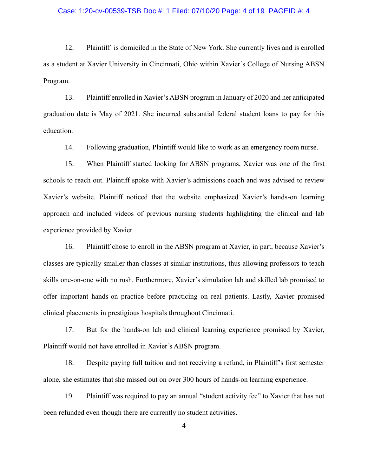### Case: 1:20-cv-00539-TSB Doc #: 1 Filed: 07/10/20 Page: 4 of 19 PAGEID #: 4

12. Plaintiff is domiciled in the State of New York. She currently lives and is enrolled as a student at Xavier University in Cincinnati, Ohio within Xavier's College of Nursing ABSN Program.

13. Plaintiff enrolled in Xavier's ABSN program in January of 2020 and her anticipated graduation date is May of 2021. She incurred substantial federal student loans to pay for this education.

14. Following graduation, Plaintiff would like to work as an emergency room nurse.

15. When Plaintiff started looking for ABSN programs, Xavier was one of the first schools to reach out. Plaintiff spoke with Xavier's admissions coach and was advised to review Xavier's website. Plaintiff noticed that the website emphasized Xavier's hands-on learning approach and included videos of previous nursing students highlighting the clinical and lab experience provided by Xavier.

16. Plaintiff chose to enroll in the ABSN program at Xavier, in part, because Xavier's classes are typically smaller than classes at similar institutions, thus allowing professors to teach skills one-on-one with no rush. Furthermore, Xavier's simulation lab and skilled lab promised to offer important hands-on practice before practicing on real patients. Lastly, Xavier promised clinical placements in prestigious hospitals throughout Cincinnati.

17. But for the hands-on lab and clinical learning experience promised by Xavier, Plaintiff would not have enrolled in Xavier's ABSN program.

18. Despite paying full tuition and not receiving a refund, in Plaintiff's first semester alone, she estimates that she missed out on over 300 hours of hands-on learning experience.

19. Plaintiff was required to pay an annual "student activity fee" to Xavier that has not been refunded even though there are currently no student activities.

4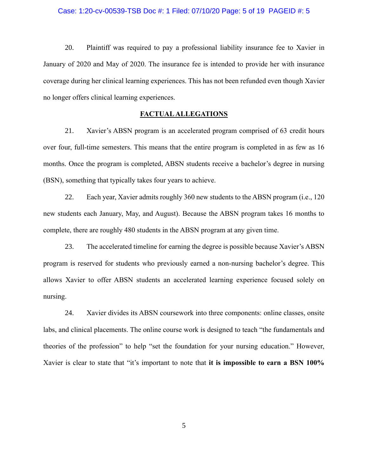### Case: 1:20-cv-00539-TSB Doc #: 1 Filed: 07/10/20 Page: 5 of 19 PAGEID #: 5

20. Plaintiff was required to pay a professional liability insurance fee to Xavier in January of 2020 and May of 2020. The insurance fee is intended to provide her with insurance coverage during her clinical learning experiences. This has not been refunded even though Xavier no longer offers clinical learning experiences.

#### **FACTUAL ALLEGATIONS**

21. Xavier's ABSN program is an accelerated program comprised of 63 credit hours over four, full-time semesters. This means that the entire program is completed in as few as 16 months. Once the program is completed, ABSN students receive a bachelor's degree in nursing (BSN), something that typically takes four years to achieve.

22. Each year, Xavier admits roughly 360 new students to the ABSN program (i.e., 120 new students each January, May, and August). Because the ABSN program takes 16 months to complete, there are roughly 480 students in the ABSN program at any given time.

23. The accelerated timeline for earning the degree is possible because Xavier's ABSN program is reserved for students who previously earned a non-nursing bachelor's degree. This allows Xavier to offer ABSN students an accelerated learning experience focused solely on nursing.

24. Xavier divides its ABSN coursework into three components: online classes, onsite labs, and clinical placements. The online course work is designed to teach "the fundamentals and theories of the profession" to help "set the foundation for your nursing education." However, Xavier is clear to state that "it's important to note that **it is impossible to earn a BSN 100%**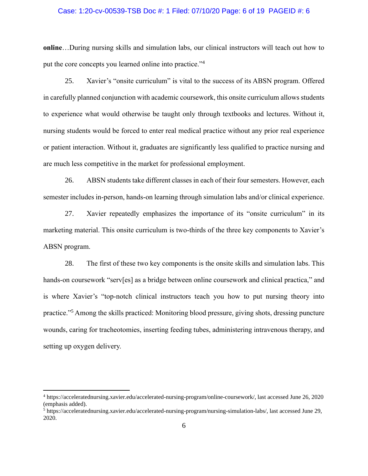### Case: 1:20-cv-00539-TSB Doc #: 1 Filed: 07/10/20 Page: 6 of 19 PAGEID #: 6

**online**…During nursing skills and simulation labs, our clinical instructors will teach out how to put the core concepts you learned online into practice."<sup>4</sup>

25. Xavier's "onsite curriculum" is vital to the success of its ABSN program. Offered in carefully planned conjunction with academic coursework, this onsite curriculum allows students to experience what would otherwise be taught only through textbooks and lectures. Without it, nursing students would be forced to enter real medical practice without any prior real experience or patient interaction. Without it, graduates are significantly less qualified to practice nursing and are much less competitive in the market for professional employment.

26. ABSN students take different classes in each of their four semesters. However, each semester includes in-person, hands-on learning through simulation labs and/or clinical experience.

27. Xavier repeatedly emphasizes the importance of its "onsite curriculum" in its marketing material. This onsite curriculum is two-thirds of the three key components to Xavier's ABSN program.

28. The first of these two key components is the onsite skills and simulation labs. This hands-on coursework "serv[es] as a bridge between online coursework and clinical practica," and is where Xavier's "top-notch clinical instructors teach you how to put nursing theory into practice."<sup>5</sup> Among the skills practiced: Monitoring blood pressure, giving shots, dressing puncture wounds, caring for tracheotomies, inserting feeding tubes, administering intravenous therapy, and setting up oxygen delivery.

<sup>4</sup> [https://acceleratednursing.xavier.edu/accelerated-nursing-program/online-coursework/,](https://acceleratednursing.xavier.edu/accelerated-nursing-program/online-coursework/) last accessed June 26, 2020 (emphasis added).

<sup>5</sup> [https://acceleratednursing.xavier.edu/accelerated-nursing-program/nursing-simulation-labs/,](https://acceleratednursing.xavier.edu/accelerated-nursing-program/nursing-simulation-labs/) last accessed June 29, 2020.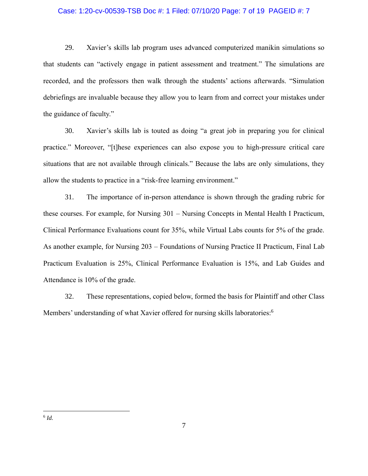### Case: 1:20-cv-00539-TSB Doc #: 1 Filed: 07/10/20 Page: 7 of 19 PAGEID #: 7

29. Xavier's skills lab program uses advanced computerized manikin simulations so that students can "actively engage in patient assessment and treatment." The simulations are recorded, and the professors then walk through the students' actions afterwards. "Simulation debriefings are invaluable because they allow you to learn from and correct your mistakes under the guidance of faculty."

30. Xavier's skills lab is touted as doing "a great job in preparing you for clinical practice." Moreover, "[t]hese experiences can also expose you to high-pressure critical care situations that are not available through clinicals." Because the labs are only simulations, they allow the students to practice in a "risk-free learning environment."

31. The importance of in-person attendance is shown through the grading rubric for these courses. For example, for Nursing 301 – Nursing Concepts in Mental Health I Practicum, Clinical Performance Evaluations count for 35%, while Virtual Labs counts for 5% of the grade. As another example, for Nursing 203 – Foundations of Nursing Practice II Practicum, Final Lab Practicum Evaluation is 25%, Clinical Performance Evaluation is 15%, and Lab Guides and Attendance is 10% of the grade.

32. These representations, copied below, formed the basis for Plaintiff and other Class Members' understanding of what Xavier offered for nursing skills laboratories: 6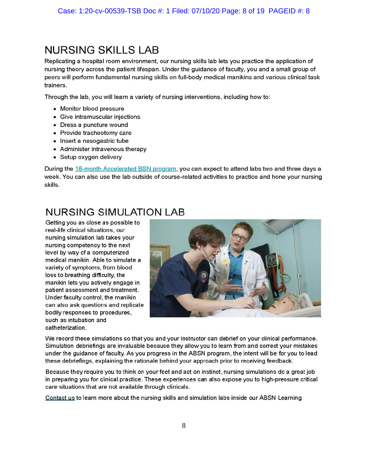# **NURSING SKILLS LAB**

Replicating a hospital room environment, our nursing skills lab lets you practice the application of nursing theory across the patient lifespan. Under the guidance of faculty, you and a small group of peers will perform fundamental nursing skills on full-body medical manikins and various clinical task trainers.

Through the lab, you will learn a variety of nursing interventions, including how to:

- Monitor blood pressure
- Give intramuscular injections
- Dress a puncture wound
- Provide tracheotomy care
- Insert a nasogastric tube
- Administer intravenous therapy
- Setup oxygen delivery

During the 16-month Accelerated BSN program, you can expect to attend labs two and three days a week. You can also use the lab outside of course-related activities to practice and hone your nursing skills.

# **NURSING SIMULATION LAB**

Getting you as close as possible to real-life clinical situations, our nursing simulation lab takes your nursing competency to the next level by way of a computerized medical manikin. Able to simulate a variety of symptoms, from blood loss to breathing difficulty, the manikin lets you actively engage in patient assessment and treatment. Under faculty control, the manikin can also ask questions and replicate bodily responses to procedures, such as intubation and catheterization.



We record these simulations so that you and your instructor can debrief on your clinical performance. Simulation debriefings are invaluable because they allow you to learn from and correct your mistakes under the guidance of faculty. As you progress in the ABSN program, the intent will be for you to lead these debriefings, explaining the rationale behind your approach prior to receiving feedback.

Because they require you to think on your feet and act on instinct, nursing simulations do a great job in preparing you for clinical practice. These experiences can also expose you to high-pressure critical care situations that are not available through clinicals.

Contact us to learn more about the nursing skills and simulation labs inside our ABSN Learning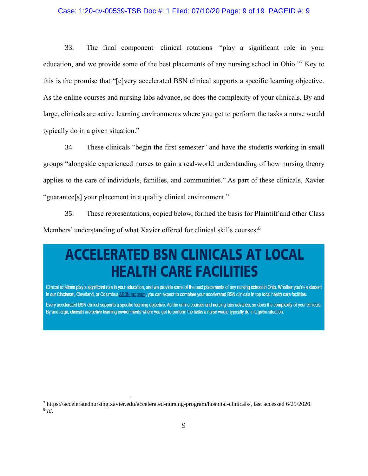### Case: 1:20-cv-00539-TSB Doc #: 1 Filed: 07/10/20 Page: 9 of 19 PAGEID #: 9

33. The final component—clinical rotations—"play a significant role in your education, and we provide some of the best placements of any nursing school in Ohio."<sup>7</sup> Key to this is the promise that "[e]very accelerated BSN clinical supports a specific learning objective. As the online courses and nursing labs advance, so does the complexity of your clinicals. By and large, clinicals are active learning environments where you get to perform the tasks a nurse would typically do in a given situation."

34. These clinicals "begin the first semester" and have the students working in small groups "alongside experienced nurses to gain a real-world understanding of how nursing theory applies to the care of individuals, families, and communities." As part of these clinicals, Xavier "guarantee[s] your placement in a quality clinical environment."

35. These representations, copied below, formed the basis for Plaintiff and other Class Members' understanding of what Xavier offered for clinical skills courses:<sup>8</sup>

# **ACCELERATED BSN CLINICALS AT LOCAL HEALTH CARE FACILITIES**

Clinical rotations play a significant role in your education, and we provide some of the best placements of any nursing school in Ohio. Whether you're a student in our Cincinnati, Cleveland, or Columbus ABSN program, you can expect to complete your accelerated BSN clinicals in top local health care facilities.

Every accelerated BSN clinical supports a specific learning objective. As the online courses and nursing labs advance, so does the complexity of your clinicals. By and large, clinicals are active learning environments where you get to perform the tasks a nurse would typically do in a given situation.

<sup>7</sup> https://acceleratednursing.xavier.edu/accelerated-nursing-program/hospital-clinicals/, last accessed 6/29/2020. 8 *Id*.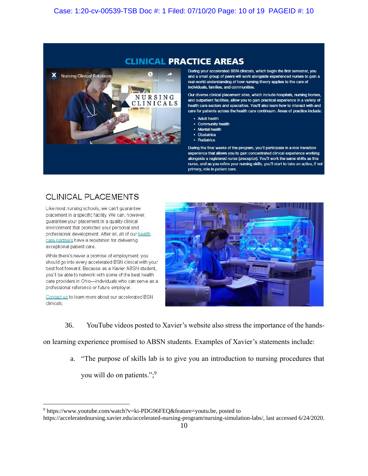### **CLINICAL PRACTICE AREAS**



During your accelerated BSN clinicals, which begin the first semester, you and a small group of peers will work alongside experienced nurses to gain a real-world understanding of how nursing theory applies to the care of individuals, families, and communities.

Our diverse clinical placement sites, which include hospitals, nursing homes, and outpatient facilities, allow you to gain practical experience in a variety of health care sectors and specialties. You'll also learn how to interact with and care for patients across the health care continuum. Areas of practice include:

- **Adult health**
- **Community health**
- **Mental health** ÷
- Obstetrics
- Pediatrics

During the final weeks of the program, you'll participate in a role transition experience that allows you to gain concentrated clinical experience working alongside a registered nurse (preceptor). You'll work the same shifts as this nurse, and as you refine your nursing skills, you'll start to take an active, if not primary, role in patient care.

## **CLINICAL PLACEMENTS**

Like most nursing schools, we can't quarantee placement in a specific facility. We can, however, quarantee your placement in a quality clinical environment that promotes your personal and professional development. After all, all of our health care partners have a reputation for delivering exceptional patient care.

While there's never a promise of employment, you should go into every accelerated BSN clinical with your best foot forward. Because as a Xavier ABSN student, you'll be able to network with some of the best health care providers in Ohio-individuals who can serve as a professional reference or future employer.

Contact us to learn more about our accelerated BSN clinicals.



36. YouTube videos posted to Xavier's website also stress the importance of the hands-

on learning experience promised to ABSN students. Examples of Xavier's statements include:

a. "The purpose of skills lab is to give you an introduction to nursing procedures that you will do on patients."; 9

<sup>9</sup> [https://www.youtube.com/watch?v=ki-PDG96FEQ&feature=youtu.be,](https://www.youtube.com/watch?v=ki-PDG96FEQ&feature=youtu.be) posted to

[https://acceleratednursing.xavier.edu/accelerated-nursing-program/nursing-simulation-labs/,](https://acceleratednursing.xavier.edu/accelerated-nursing-program/nursing-simulation-labs/) last accessed 6/24/2020.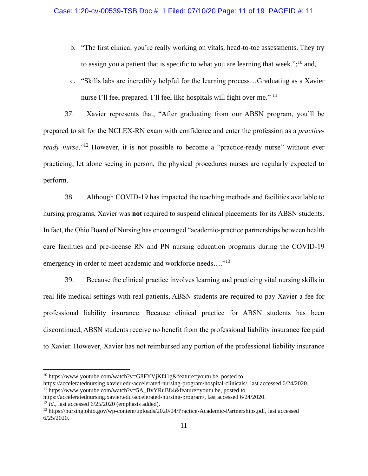- b. "The first clinical you're really working on vitals, head-to-toe assessments. They try to assign you a patient that is specific to what you are learning that week.";<sup>10</sup> and,
- c. "Skills labs are incredibly helpful for the learning process…Graduating as a Xavier nurse I'll feel prepared. I'll feel like hospitals will fight over me."<sup>11</sup>

37. Xavier represents that, "After graduating from our ABSN program, you'll be prepared to sit for the NCLEX-RN exam with confidence and enter the profession as a *practiceready nurse*."<sup>12</sup> However, it is not possible to become a "practice-ready nurse" without ever practicing, let alone seeing in person, the physical procedures nurses are regularly expected to perform.

38. Although COVID-19 has impacted the teaching methods and facilities available to nursing programs, Xavier was **not** required to suspend clinical placements for its ABSN students. In fact, the Ohio Board of Nursing has encouraged "academic-practice partnerships between health care facilities and pre-license RN and PN nursing education programs during the COVID-19 emergency in order to meet academic and workforce needs...."<sup>13</sup>

39. Because the clinical practice involves learning and practicing vital nursing skills in real life medical settings with real patients, ABSN students are required to pay Xavier a fee for professional liability insurance. Because clinical practice for ABSN students has been discontinued, ABSN students receive no benefit from the professional liability insurance fee paid to Xavier. However, Xavier has not reimbursed any portion of the professional liability insurance

<sup>&</sup>lt;sup>10</sup> https://www.youtube.com/watch?v=G8FYVjKf41g&feature=youtu.be, posted to https://acceleratednursing.xavier.edu/accelerated-nursing-program/hospital-clinicals/, last accessed 6/24/2020.

<sup>&</sup>lt;sup>11</sup> https://www.youtube.com/watch?v=5A\_BvYRuB84&feature=youtu.be, posted to https://acceleratednursing.xavier.edu/accelerated-nursing-program/, last accessed 6/24/2020.

 $12$  *Id.*, last accessed  $6/25/2020$  (emphasis added).

<sup>13</sup> https://nursing.ohio.gov/wp-content/uploads/2020/04/Practice-Academic-Partnerships.pdf, last accessed 6/25/2020.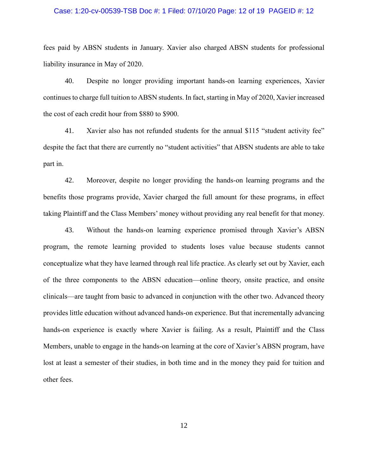### Case: 1:20-cv-00539-TSB Doc #: 1 Filed: 07/10/20 Page: 12 of 19 PAGEID #: 12

fees paid by ABSN students in January. Xavier also charged ABSN students for professional liability insurance in May of 2020.

40. Despite no longer providing important hands-on learning experiences, Xavier continues to charge full tuition to ABSN students. In fact, starting in May of 2020, Xavier increased the cost of each credit hour from \$880 to \$900.

41. Xavier also has not refunded students for the annual \$115 "student activity fee" despite the fact that there are currently no "student activities" that ABSN students are able to take part in.

42. Moreover, despite no longer providing the hands-on learning programs and the benefits those programs provide, Xavier charged the full amount for these programs, in effect taking Plaintiff and the Class Members' money without providing any real benefit for that money.

43. Without the hands-on learning experience promised through Xavier's ABSN program, the remote learning provided to students loses value because students cannot conceptualize what they have learned through real life practice. As clearly set out by Xavier, each of the three components to the ABSN education—online theory, onsite practice, and onsite clinicals—are taught from basic to advanced in conjunction with the other two. Advanced theory provides little education without advanced hands-on experience. But that incrementally advancing hands-on experience is exactly where Xavier is failing. As a result, Plaintiff and the Class Members, unable to engage in the hands-on learning at the core of Xavier's ABSN program, have lost at least a semester of their studies, in both time and in the money they paid for tuition and other fees.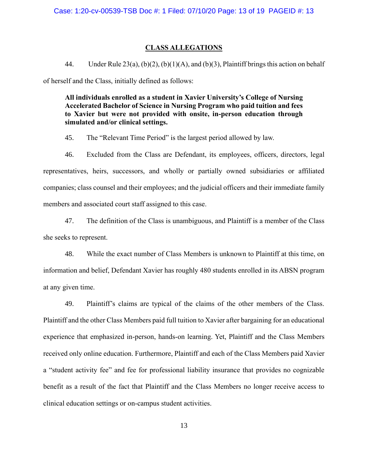### **CLASS ALLEGATIONS**

44. Under Rule  $23(a)$ ,  $(b)(2)$ ,  $(b)(1)(A)$ , and  $(b)(3)$ , Plaintiff brings this action on behalf of herself and the Class, initially defined as follows:

**All individuals enrolled as a student in Xavier University's College of Nursing Accelerated Bachelor of Science in Nursing Program who paid tuition and fees to Xavier but were not provided with onsite, in-person education through simulated and/or clinical settings.** 

45. The "Relevant Time Period" is the largest period allowed by law.

46. Excluded from the Class are Defendant, its employees, officers, directors, legal representatives, heirs, successors, and wholly or partially owned subsidiaries or affiliated companies; class counsel and their employees; and the judicial officers and their immediate family members and associated court staff assigned to this case.

47. The definition of the Class is unambiguous, and Plaintiff is a member of the Class she seeks to represent.

48. While the exact number of Class Members is unknown to Plaintiff at this time, on information and belief, Defendant Xavier has roughly 480 students enrolled in its ABSN program at any given time.

49. Plaintiff's claims are typical of the claims of the other members of the Class. Plaintiff and the other Class Members paid full tuition to Xavier after bargaining for an educational experience that emphasized in-person, hands-on learning. Yet, Plaintiff and the Class Members received only online education. Furthermore, Plaintiff and each of the Class Members paid Xavier a "student activity fee" and fee for professional liability insurance that provides no cognizable benefit as a result of the fact that Plaintiff and the Class Members no longer receive access to clinical education settings or on-campus student activities.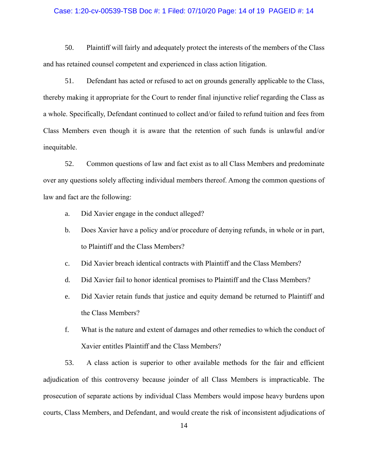### Case: 1:20-cv-00539-TSB Doc #: 1 Filed: 07/10/20 Page: 14 of 19 PAGEID #: 14

50. Plaintiff will fairly and adequately protect the interests of the members of the Class and has retained counsel competent and experienced in class action litigation.

51. Defendant has acted or refused to act on grounds generally applicable to the Class, thereby making it appropriate for the Court to render final injunctive relief regarding the Class as a whole. Specifically, Defendant continued to collect and/or failed to refund tuition and fees from Class Members even though it is aware that the retention of such funds is unlawful and/or inequitable.

52. Common questions of law and fact exist as to all Class Members and predominate over any questions solely affecting individual members thereof. Among the common questions of law and fact are the following:

- a. Did Xavier engage in the conduct alleged?
- b. Does Xavier have a policy and/or procedure of denying refunds, in whole or in part, to Plaintiff and the Class Members?
- c. Did Xavier breach identical contracts with Plaintiff and the Class Members?
- d. Did Xavier fail to honor identical promises to Plaintiff and the Class Members?
- e. Did Xavier retain funds that justice and equity demand be returned to Plaintiff and the Class Members?
- f. What is the nature and extent of damages and other remedies to which the conduct of Xavier entitles Plaintiff and the Class Members?

53. A class action is superior to other available methods for the fair and efficient adjudication of this controversy because joinder of all Class Members is impracticable. The prosecution of separate actions by individual Class Members would impose heavy burdens upon courts, Class Members, and Defendant, and would create the risk of inconsistent adjudications of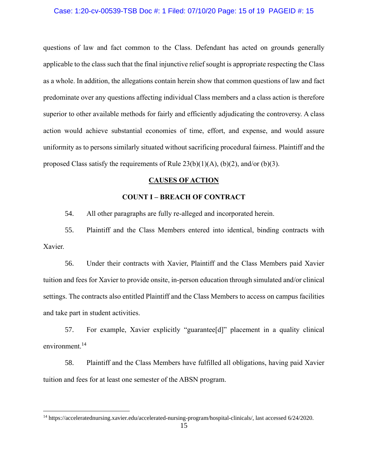### Case: 1:20-cv-00539-TSB Doc #: 1 Filed: 07/10/20 Page: 15 of 19 PAGEID #: 15

questions of law and fact common to the Class. Defendant has acted on grounds generally applicable to the class such that the final injunctive relief sought is appropriate respecting the Class as a whole. In addition, the allegations contain herein show that common questions of law and fact predominate over any questions affecting individual Class members and a class action is therefore superior to other available methods for fairly and efficiently adjudicating the controversy. A class action would achieve substantial economies of time, effort, and expense, and would assure uniformity as to persons similarly situated without sacrificing procedural fairness. Plaintiff and the proposed Class satisfy the requirements of Rule  $23(b)(1)(A)$ ,  $(b)(2)$ , and/or  $(b)(3)$ .

### **CAUSES OF ACTION**

### **COUNT I – BREACH OF CONTRACT**

54. All other paragraphs are fully re-alleged and incorporated herein.

55. Plaintiff and the Class Members entered into identical, binding contracts with Xavier.

56. Under their contracts with Xavier, Plaintiff and the Class Members paid Xavier tuition and fees for Xavier to provide onsite, in-person education through simulated and/or clinical settings. The contracts also entitled Plaintiff and the Class Members to access on campus facilities and take part in student activities.

57. For example, Xavier explicitly "guarantee[d]" placement in a quality clinical environment.<sup>14</sup>

58. Plaintiff and the Class Members have fulfilled all obligations, having paid Xavier tuition and fees for at least one semester of the ABSN program.

<sup>14</sup> https://acceleratednursing.xavier.edu/accelerated-nursing-program/hospital-clinicals/, last accessed 6/24/2020.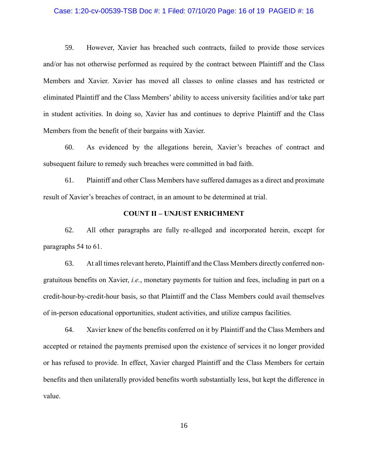### Case: 1:20-cv-00539-TSB Doc #: 1 Filed: 07/10/20 Page: 16 of 19 PAGEID #: 16

59. However, Xavier has breached such contracts, failed to provide those services and/or has not otherwise performed as required by the contract between Plaintiff and the Class Members and Xavier. Xavier has moved all classes to online classes and has restricted or eliminated Plaintiff and the Class Members' ability to access university facilities and/or take part in student activities. In doing so, Xavier has and continues to deprive Plaintiff and the Class Members from the benefit of their bargains with Xavier.

60. As evidenced by the allegations herein, Xavier's breaches of contract and subsequent failure to remedy such breaches were committed in bad faith.

61. Plaintiff and other Class Members have suffered damages as a direct and proximate result of Xavier's breaches of contract, in an amount to be determined at trial.

### **COUNT II – UNJUST ENRICHMENT**

62. All other paragraphs are fully re-alleged and incorporated herein, except for paragraphs 54 to 61.

63. At all times relevant hereto, Plaintiff and the Class Members directly conferred nongratuitous benefits on Xavier, *i.e.*, monetary payments for tuition and fees, including in part on a credit-hour-by-credit-hour basis, so that Plaintiff and the Class Members could avail themselves of in-person educational opportunities, student activities, and utilize campus facilities.

64. Xavier knew of the benefits conferred on it by Plaintiff and the Class Members and accepted or retained the payments premised upon the existence of services it no longer provided or has refused to provide. In effect, Xavier charged Plaintiff and the Class Members for certain benefits and then unilaterally provided benefits worth substantially less, but kept the difference in value.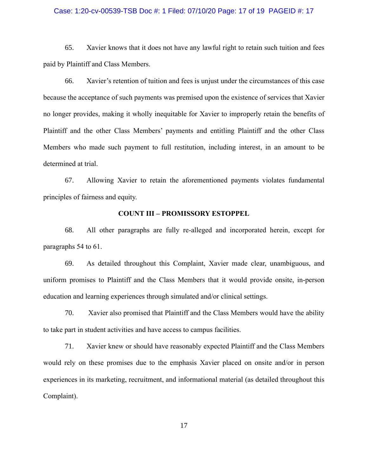### Case: 1:20-cv-00539-TSB Doc #: 1 Filed: 07/10/20 Page: 17 of 19 PAGEID #: 17

65. Xavier knows that it does not have any lawful right to retain such tuition and fees paid by Plaintiff and Class Members.

66. Xavier's retention of tuition and fees is unjust under the circumstances of this case because the acceptance of such payments was premised upon the existence of services that Xavier no longer provides, making it wholly inequitable for Xavier to improperly retain the benefits of Plaintiff and the other Class Members' payments and entitling Plaintiff and the other Class Members who made such payment to full restitution, including interest, in an amount to be determined at trial.

67. Allowing Xavier to retain the aforementioned payments violates fundamental principles of fairness and equity.

### **COUNT III – PROMISSORY ESTOPPEL**

68. All other paragraphs are fully re-alleged and incorporated herein, except for paragraphs 54 to 61.

69. As detailed throughout this Complaint, Xavier made clear, unambiguous, and uniform promises to Plaintiff and the Class Members that it would provide onsite, in-person education and learning experiences through simulated and/or clinical settings.

70. Xavier also promised that Plaintiff and the Class Members would have the ability to take part in student activities and have access to campus facilities.

71. Xavier knew or should have reasonably expected Plaintiff and the Class Members would rely on these promises due to the emphasis Xavier placed on onsite and/or in person experiences in its marketing, recruitment, and informational material (as detailed throughout this Complaint).

17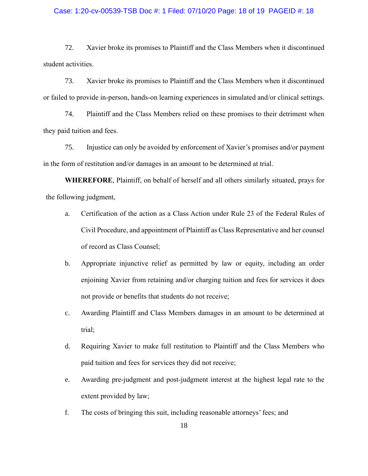### Case: 1:20-cv-00539-TSB Doc #: 1 Filed: 07/10/20 Page: 18 of 19 PAGEID #: 18

72. Xavier broke its promises to Plaintiff and the Class Members when it discontinued student activities.

73. Xavier broke its promises to Plaintiff and the Class Members when it discontinued or failed to provide in-person, hands-on learning experiences in simulated and/or clinical settings.

74. Plaintiff and the Class Members relied on these promises to their detriment when they paid tuition and fees.

75. Injustice can only be avoided by enforcement of Xavier's promises and/or payment in the form of restitution and/or damages in an amount to be determined at trial.

**WHEREFORE**, Plaintiff, on behalf of herself and all others similarly situated, prays for the following judgment,

- a. Certification of the action as a Class Action under Rule 23 of the Federal Rules of Civil Procedure, and appointment of Plaintiff as Class Representative and her counsel of record as Class Counsel;
- b. Appropriate injunctive relief as permitted by law or equity, including an order enjoining Xavier from retaining and/or charging tuition and fees for services it does not provide or benefits that students do not receive;
- c. Awarding Plaintiff and Class Members damages in an amount to be determined at trial;
- d. Requiring Xavier to make full restitution to Plaintiff and the Class Members who paid tuition and fees for services they did not receive;
- e. Awarding pre-judgment and post-judgment interest at the highest legal rate to the extent provided by law;
- f. The costs of bringing this suit, including reasonable attorneys' fees; and